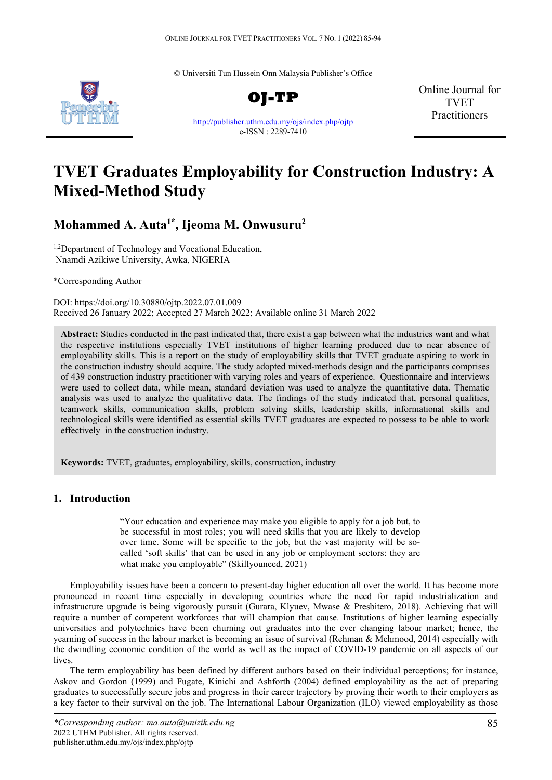© Universiti Tun Hussein Onn Malaysia Publisher's Office



<http://publisher.uthm.edu.my/ojs/index.php/ojtp> e-ISSN : 2289-7410

Online Journal for TVET Practitioners

# **TVET Graduates Employability for Construction Industry: A Mixed-Method Study**

## **Mohammed A. Auta1\* , Ijeoma M. Onwusuru2**

<sup>1,2</sup>Department of Technology and Vocational Education, Nnamdi Azikiwe University, Awka, NIGERIA

\*Corresponding Author

DOI: https://doi.org/10.30880/ojtp.2022.07.01.009 Received 26 January 2022; Accepted 27 March 2022; Available online 31 March 2022

**Abstract:** Studies conducted in the past indicated that, there exist a gap between what the industries want and what the respective institutions especially TVET institutions of higher learning produced due to near absence of employability skills. This is a report on the study of employability skills that TVET graduate aspiring to work in the construction industry should acquire. The study adopted mixed-methods design and the participants comprises of 439 construction industry practitioner with varying roles and years of experience. Questionnaire and interviews were used to collect data, while mean, standard deviation was used to analyze the quantitative data. Thematic analysis was used to analyze the qualitative data. The findings of the study indicated that, personal qualities, teamwork skills, communication skills, problem solving skills, leadership skills, informational skills and technological skills were identified as essential skills TVET graduates are expected to possess to be able to work effectively in the construction industry.

**Keywords:** TVET, graduates, employability, skills, construction, industry

## **1. Introduction**

"Your education and experience may make you eligible to apply for a job but, to be successful in most roles; you will need skills that you are likely to develop over time. Some will be specific to the job, but the vast majority will be socalled 'soft skills' that can be used in any job or employment sectors: they are what make you employable" (Skillyouneed, 2021)

Employability issues have been a concern to present-day higher education all over the world. It has become more pronounced in recent time especially in developing countries where the need for rapid industrialization and infrastructure upgrade is being vigorously pursuit (Gurara, Klyuev, Mwase & Presbitero, 2018). Achieving that will require a number of competent workforces that will champion that cause. Institutions of higher learning especially universities and polytechnics have been churning out graduates into the ever changing labour market; hence, the yearning of success in the labour market is becoming an issue of survival (Rehman & Mehmood, 2014) especially with the dwindling economic condition of the world as well as the impact of COVID-19 pandemic on all aspects of our lives.

The term employability has been defined by different authors based on their individual perceptions; for instance, Askov and Gordon (1999) and Fugate, Kinichi and Ashforth (2004) defined employability as the act of preparing graduates to successfully secure jobs and progress in their career trajectory by proving their worth to their employers as a key factor to their survival on the job. The International Labour Organization (ILO) viewed employability as those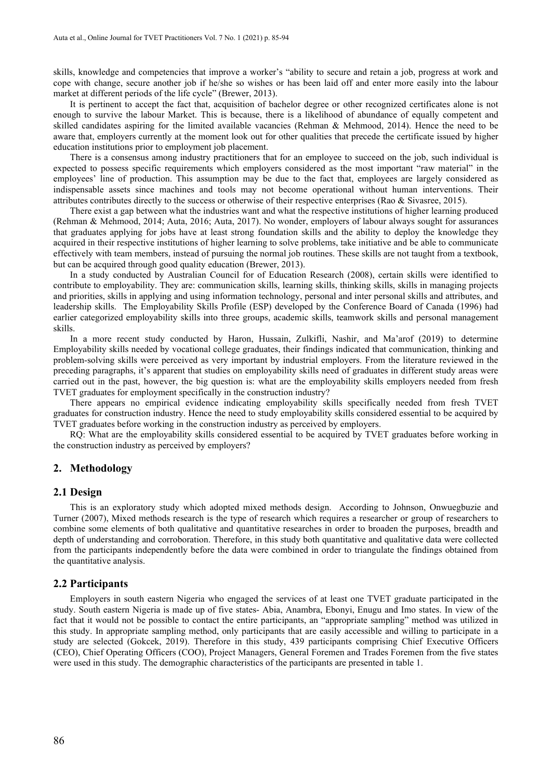skills, knowledge and competencies that improve a worker's "ability to secure and retain a job, progress at work and cope with change, secure another job if he/she so wishes or has been laid off and enter more easily into the labour market at different periods of the life cycle" (Brewer, 2013).

It is pertinent to accept the fact that, acquisition of bachelor degree or other recognized certificates alone is not enough to survive the labour Market. This is because, there is a likelihood of abundance of equally competent and skilled candidates aspiring for the limited available vacancies (Rehman & Mehmood, 2014). Hence the need to be aware that, employers currently at the moment look out for other qualities that precede the certificate issued by higher education institutions prior to employment job placement.

There is a consensus among industry practitioners that for an employee to succeed on the job, such individual is expected to possess specific requirements which employers considered as the most important "raw material" in the employees' line of production. This assumption may be due to the fact that, employees are largely considered as indispensable assets since machines and tools may not become operational without human interventions. Their attributes contributes directly to the success or otherwise of their respective enterprises (Rao & Sivasree, 2015).

There exist a gap between what the industries want and what the respective institutions of higher learning produced (Rehman & Mehmood, 2014; Auta, 2016; Auta, 2017). No wonder, employers of labour always sought for assurances that graduates applying for jobs have at least strong foundation skills and the ability to deploy the knowledge they acquired in their respective institutions of higher learning to solve problems, take initiative and be able to communicate effectively with team members, instead of pursuing the normal job routines. These skills are not taught from a textbook, but can be acquired through good quality education (Brewer, 2013).

In a study conducted by Australian Council for of Education Research (2008), certain skills were identified to contribute to employability. They are: communication skills, learning skills, thinking skills, skills in managing projects and priorities, skills in applying and using information technology, personal and inter personal skills and attributes, and leadership skills. The Employability Skills Profile (ESP) developed by the Conference Board of Canada (1996) had earlier categorized employability skills into three groups, academic skills, teamwork skills and personal management skills.

In a more recent study conducted by Haron, Hussain, Zulkifli, Nashir, and Ma'arof (2019) to determine Employability skills needed by vocational college graduates, their findings indicated that communication, thinking and problem-solving skills were perceived as very important by industrial employers. From the literature reviewed in the preceding paragraphs, it's apparent that studies on employability skills need of graduates in different study areas were carried out in the past, however, the big question is: what are the employability skills employers needed from fresh TVET graduates for employment specifically in the construction industry?

There appears no empirical evidence indicating employability skills specifically needed from fresh TVET graduates for construction industry. Hence the need to study employability skills considered essential to be acquired by TVET graduates before working in the construction industry as perceived by employers.

RQ: What are the employability skills considered essential to be acquired by TVET graduates before working in the construction industry as perceived by employers?

## **2. Methodology**

#### **2.1 Design**

This is an exploratory study which adopted mixed methods design. According to Johnson, Onwuegbuzie and Turner (2007), Mixed methods research is the type of research which requires a researcher or group of researchers to combine some elements of both qualitative and quantitative researches in order to broaden the purposes, breadth and depth of understanding and corroboration. Therefore, in this study both quantitative and qualitative data were collected from the participants independently before the data were combined in order to triangulate the findings obtained from the quantitative analysis.

## **2.2 Participants**

Employers in south eastern Nigeria who engaged the services of at least one TVET graduate participated in the study. South eastern Nigeria is made up of five states- Abia, Anambra, Ebonyi, Enugu and Imo states. In view of the fact that it would not be possible to contact the entire participants, an "appropriate sampling" method was utilized in this study. In appropriate sampling method, only participants that are easily accessible and willing to participate in a study are selected (Gokcek, 2019). Therefore in this study, 439 participants comprising Chief Executive Officers (CEO), Chief Operating Officers (COO), Project Managers, General Foremen and Trades Foremen from the five states were used in this study. The demographic characteristics of the participants are presented in table 1.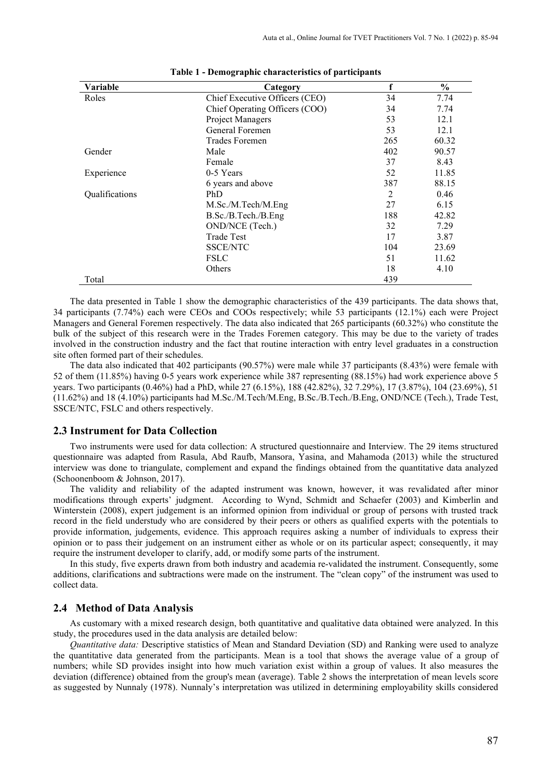| Variable       | Category                       |     | $\frac{0}{0}$ |
|----------------|--------------------------------|-----|---------------|
| Roles          | Chief Executive Officers (CEO) | 34  | 7.74          |
|                | Chief Operating Officers (COO) | 34  | 7.74          |
|                | Project Managers               | 53  | 12.1          |
|                | General Foremen                | 53  | 12.1          |
|                | Trades Foremen                 | 265 | 60.32         |
| Gender         | Male                           | 402 | 90.57         |
|                | Female                         | 37  | 8.43          |
| Experience     | 0-5 Years                      | 52  | 11.85         |
|                | 6 years and above              | 387 | 88.15         |
| Qualifications | PhD                            | 2   | 0.46          |
|                | M.Sc./M.Tech/M.Eng             | 27  | 6.15          |
|                | B.Sc./B.Tech./B.Eng            | 188 | 42.82         |
|                | OND/NCE (Tech.)                | 32  | 7.29          |
|                | <b>Trade Test</b>              | 17  | 3.87          |
|                | <b>SSCE/NTC</b>                | 104 | 23.69         |
|                | <b>FSLC</b>                    | 51  | 11.62         |
|                | Others                         | 18  | 4.10          |
| Total          |                                | 439 |               |

#### **Table 1 - Demographic characteristics of participants**

The data presented in Table 1 show the demographic characteristics of the 439 participants. The data shows that, 34 participants (7.74%) each were CEOs and COOs respectively; while 53 participants (12.1%) each were Project Managers and General Foremen respectively. The data also indicated that 265 participants (60.32%) who constitute the bulk of the subject of this research were in the Trades Foremen category. This may be due to the variety of trades involved in the construction industry and the fact that routine interaction with entry level graduates in a construction site often formed part of their schedules.

The data also indicated that 402 participants (90.57%) were male while 37 participants (8.43%) were female with 52 of them (11.85%) having 0-5 years work experience while 387 representing (88.15%) had work experience above 5 years. Two participants (0.46%) had a PhD, while 27 (6.15%), 188 (42.82%), 32 7.29%), 17 (3.87%), 104 (23.69%), 51 (11.62%) and 18 (4.10%) participants had M.Sc./M.Tech/M.Eng, B.Sc./B.Tech./B.Eng, OND/NCE (Tech.), Trade Test, SSCE/NTC, FSLC and others respectively.

## **2.3 Instrument for Data Collection**

Two instruments were used for data collection: A structured questionnaire and Interview. The 29 items structured questionnaire was adapted from Rasula, Abd Raufb, Mansora, Yasina, and Mahamoda (2013) while the structured interview was done to triangulate, complement and expand the findings obtained from the quantitative data analyzed (Schoonenboom & Johnson, 2017).

The validity and reliability of the adapted instrument was known, however, it was revalidated after minor modifications through experts' judgment. According to Wynd, Schmidt and Schaefer (2003) and Kimberlin and Winterstein (2008), expert judgement is an informed opinion from individual or group of persons with trusted track record in the field understudy who are considered by their peers or others as qualified experts with the potentials to provide information, judgements, evidence. This approach requires asking a number of individuals to express their opinion or to pass their judgement on an instrument either as whole or on its particular aspect; consequently, it may require the instrument developer to clarify, add, or modify some parts of the instrument.

In this study, five experts drawn from both industry and academia re-validated the instrument. Consequently, some additions, clarifications and subtractions were made on the instrument. The "clean copy" of the instrument was used to collect data.

## **2.4 Method of Data Analysis**

As customary with a mixed research design, both quantitative and qualitative data obtained were analyzed. In this study, the procedures used in the data analysis are detailed below:

*Quantitative data:* Descriptive statistics of Mean and Standard Deviation (SD) and Ranking were used to analyze the quantitative data generated from the participants. Mean is a tool that shows the average value of a group of numbers; while SD provides insight into how much variation exist within a group of values. It also measures the deviation (difference) obtained from the group's mean (average). Table 2 shows the interpretation of mean levels score as suggested by Nunnaly (1978). Nunnaly's interpretation was utilized in determining employability skills considered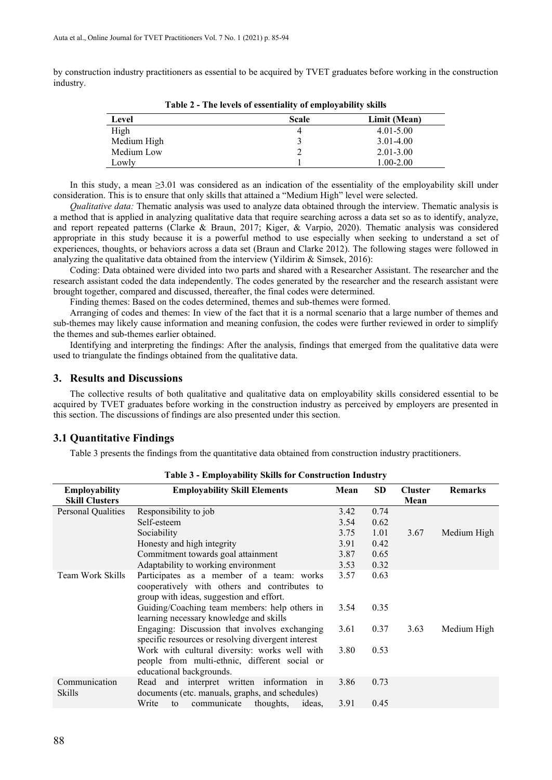by construction industry practitioners as essential to be acquired by TVET graduates before working in the construction industry.

| Level       | <b>Scale</b> | Limit (Mean)  |  |  |
|-------------|--------------|---------------|--|--|
| High        | 4            | $4.01 - 5.00$ |  |  |
| Medium High |              | $3.01 - 4.00$ |  |  |
| Medium Low  |              | $2.01 - 3.00$ |  |  |
| Lowly       |              | $1.00 - 2.00$ |  |  |

**Table 2 - The levels of essentiality of employability skills**

In this study, a mean ≥3.01 was considered as an indication of the essentiality of the employability skill under consideration. This is to ensure that only skills that attained a "Medium High" level were selected.

*Qualitative data:* Thematic analysis was used to analyze data obtained through the interview. Thematic analysis is a method that is applied in analyzing qualitative data that require searching across a data set so as to identify, analyze, and report repeated patterns (Clarke & Braun, 2017; Kiger, & Varpio, 2020). Thematic analysis was considered appropriate in this study because it is a powerful method to use especially when seeking to understand a set of experiences, thoughts, or behaviors across a data set (Braun and Clarke 2012). The following stages were followed in analyzing the qualitative data obtained from the interview (Yildirim  $&$  Simsek, 2016):

Coding: Data obtained were divided into two parts and shared with a Researcher Assistant. The researcher and the research assistant coded the data independently. The codes generated by the researcher and the research assistant were brought together, compared and discussed, thereafter, the final codes were determined.

Finding themes: Based on the codes determined, themes and sub-themes were formed.

Arranging of codes and themes: In view of the fact that it is a normal scenario that a large number of themes and sub-themes may likely cause information and meaning confusion, the codes were further reviewed in order to simplify the themes and sub-themes earlier obtained.

Identifying and interpreting the findings: After the analysis, findings that emerged from the qualitative data were used to triangulate the findings obtained from the qualitative data.

## **3. Results and Discussions**

The collective results of both qualitative and qualitative data on employability skills considered essential to be acquired by TVET graduates before working in the construction industry as perceived by employers are presented in this section. The discussions of findings are also presented under this section.

## **3.1 Quantitative Findings**

Table 3 presents the findings from the quantitative data obtained from construction industry practitioners.

| <b>Employability</b>    | <b>Employability Skill Elements</b>                                                                                        | Mean | <b>SD</b> | <b>Cluster</b> | <b>Remarks</b> |
|-------------------------|----------------------------------------------------------------------------------------------------------------------------|------|-----------|----------------|----------------|
| <b>Skill Clusters</b>   |                                                                                                                            |      |           | Mean           |                |
| Personal Qualities      | Responsibility to job                                                                                                      | 3.42 | 0.74      |                |                |
|                         | Self-esteem                                                                                                                | 3.54 | 0.62      |                |                |
|                         | Sociability                                                                                                                | 3.75 | 1.01      | 3.67           | Medium High    |
|                         | Honesty and high integrity                                                                                                 | 3.91 | 0.42      |                |                |
|                         | Commitment towards goal attainment                                                                                         | 3.87 | 0.65      |                |                |
|                         | Adaptability to working environment                                                                                        | 3.53 | 0.32      |                |                |
| Team Work Skills        | Participates as a member of a team: works<br>cooperatively with others and contributes to                                  | 3.57 | 0.63      |                |                |
|                         | group with ideas, suggestion and effort.                                                                                   |      |           |                |                |
|                         | Guiding/Coaching team members: help others in<br>learning necessary knowledge and skills                                   | 3.54 | 0.35      |                |                |
|                         | Engaging: Discussion that involves exchanging<br>specific resources or resolving divergent interest                        | 3.61 | 0.37      | 3.63           | Medium High    |
|                         | Work with cultural diversity: works well with<br>people from multi-ethnic, different social or<br>educational backgrounds. | 3.80 | 0.53      |                |                |
| Communication<br>Skills | Read and interpret written information in<br>documents (etc. manuals, graphs, and schedules)                               | 3.86 | 0.73      |                |                |
|                         | Write<br>communicate<br>ideas,<br>thoughts,<br>to                                                                          | 3.91 | 0.45      |                |                |

**Table 3 - Employability Skills for Construction Industry**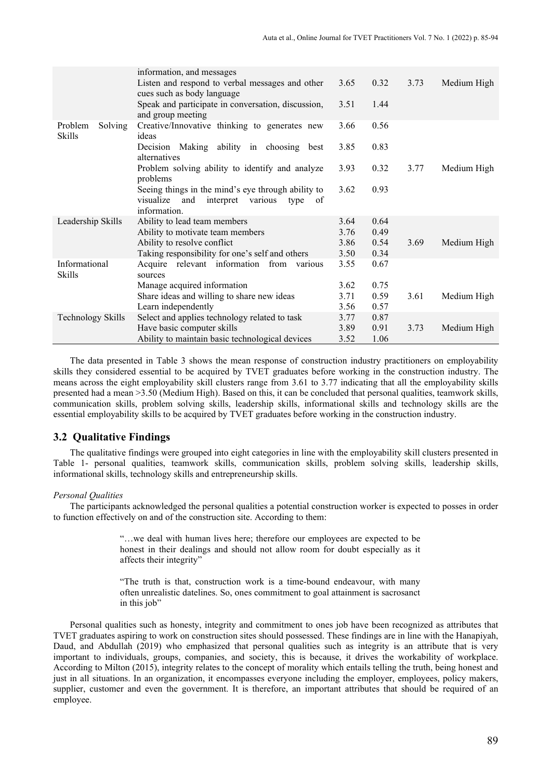|                    | information, and messages                                          |      |      |      |             |
|--------------------|--------------------------------------------------------------------|------|------|------|-------------|
|                    | Listen and respond to verbal messages and other                    | 3.65 | 0.32 | 3.73 | Medium High |
|                    | cues such as body language                                         |      |      |      |             |
|                    | Speak and participate in conversation, discussion,                 | 3.51 | 1.44 |      |             |
| Solving<br>Problem | and group meeting<br>Creative/Innovative thinking to generates new | 3.66 | 0.56 |      |             |
| Skills             | ideas                                                              |      |      |      |             |
|                    | Decision Making ability in choosing best                           | 3.85 | 0.83 |      |             |
|                    | alternatives                                                       |      |      |      |             |
|                    | Problem solving ability to identify and analyze                    | 3.93 | 0.32 | 3.77 | Medium High |
|                    | problems                                                           |      |      |      |             |
|                    | Seeing things in the mind's eye through ability to                 | 3.62 | 0.93 |      |             |
|                    | and<br>interpret various<br>visualize<br>type<br>of                |      |      |      |             |
|                    | information.                                                       |      |      |      |             |
| Leadership Skills  | Ability to lead team members                                       | 3.64 | 0.64 |      |             |
|                    | Ability to motivate team members                                   | 3.76 | 0.49 |      |             |
|                    | Ability to resolve conflict                                        | 3.86 | 0.54 | 3.69 | Medium High |
|                    | Taking responsibility for one's self and others                    | 3.50 | 0.34 |      |             |
| Informational      | Acquire relevant information from various                          | 3.55 | 0.67 |      |             |
| Skills             | sources                                                            |      |      |      |             |
|                    | Manage acquired information                                        | 3.62 | 0.75 |      |             |
|                    | Share ideas and willing to share new ideas                         | 3.71 | 0.59 | 3.61 | Medium High |
|                    | Learn independently                                                | 3.56 | 0.57 |      |             |
| Technology Skills  | Select and applies technology related to task                      | 3.77 | 0.87 |      |             |
|                    | Have basic computer skills                                         | 3.89 | 0.91 | 3.73 | Medium High |
|                    | Ability to maintain basic technological devices                    | 3.52 | 1.06 |      |             |

The data presented in Table 3 shows the mean response of construction industry practitioners on employability skills they considered essential to be acquired by TVET graduates before working in the construction industry. The means across the eight employability skill clusters range from 3.61 to 3.77 indicating that all the employability skills presented had a mean >3.50 (Medium High). Based on this, it can be concluded that personal qualities, teamwork skills, communication skills, problem solving skills, leadership skills, informational skills and technology skills are the essential employability skills to be acquired by TVET graduates before working in the construction industry.

### **3.2 Qualitative Findings**

The qualitative findings were grouped into eight categories in line with the employability skill clusters presented in Table 1- personal qualities, teamwork skills, communication skills, problem solving skills, leadership skills, informational skills, technology skills and entrepreneurship skills.

#### *Personal Qualities*

The participants acknowledged the personal qualities a potential construction worker is expected to posses in order to function effectively on and of the construction site. According to them:

> "…we deal with human lives here; therefore our employees are expected to be honest in their dealings and should not allow room for doubt especially as it affects their integrity"

> "The truth is that, construction work is a time-bound endeavour, with many often unrealistic datelines. So, ones commitment to goal attainment is sacrosanct in this job"

Personal qualities such as honesty, integrity and commitment to ones job have been recognized as attributes that TVET graduates aspiring to work on construction sites should possessed. These findings are in line with the Hanapiyah, Daud, and Abdullah (2019) who emphasized that personal qualities such as integrity is an attribute that is very important to individuals, groups, companies, and society, this is because, it drives the workability of workplace. According to Milton (2015), integrity relates to the concept of morality which entails telling the truth, being honest and just in all situations. In an organization, it encompasses everyone including the employer, employees, policy makers, supplier, customer and even the government. It is therefore, an important attributes that should be required of an employee.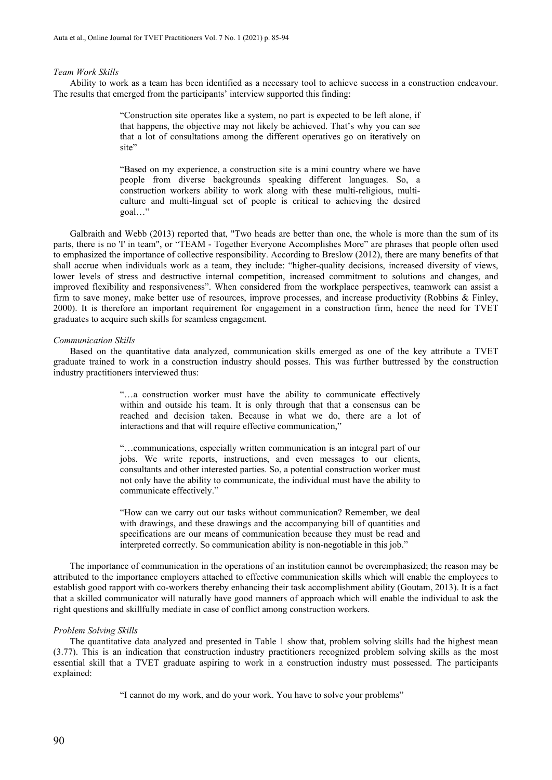#### *Team Work Skills*

Ability to work as a team has been identified as a necessary tool to achieve success in a construction endeavour. The results that emerged from the participants' interview supported this finding:

> "Construction site operates like a system, no part is expected to be left alone, if that happens, the objective may not likely be achieved. That's why you can see that a lot of consultations among the different operatives go on iteratively on site"

> "Based on my experience, a construction site is a mini country where we have people from diverse backgrounds speaking different languages. So, a construction workers ability to work along with these multi-religious, multiculture and multi-lingual set of people is critical to achieving the desired goal…"

Galbraith and Webb (2013) reported that, "Two heads are better than one, the whole is more than the sum of its parts, there is no 'I' in team", or "TEAM - Together Everyone Accomplishes More" are phrases that people often used to emphasized the importance of collective responsibility. According to Breslow (2012), there are many benefits of that shall accrue when individuals work as a team, they include: "higher-quality decisions, increased diversity of views, lower levels of stress and destructive internal competition, increased commitment to solutions and changes, and improved flexibility and responsiveness". When considered from the workplace perspectives, teamwork can assist a firm to save money, make better use of resources, improve processes, and increase productivity (Robbins & Finley, 2000). It is therefore an important requirement for engagement in a construction firm, hence the need for TVET graduates to acquire such skills for seamless engagement.

#### *Communication Skills*

Based on the quantitative data analyzed, communication skills emerged as one of the key attribute a TVET graduate trained to work in a construction industry should posses. This was further buttressed by the construction industry practitioners interviewed thus:

> "…a construction worker must have the ability to communicate effectively within and outside his team. It is only through that that a consensus can be reached and decision taken. Because in what we do, there are a lot of interactions and that will require effective communication,

> "…communications, especially written communication is an integral part of our jobs. We write reports, instructions, and even messages to our clients, consultants and other interested parties. So, a potential construction worker must not only have the ability to communicate, the individual must have the ability to communicate effectively."

> "How can we carry out our tasks without communication? Remember, we deal with drawings, and these drawings and the accompanying bill of quantities and specifications are our means of communication because they must be read and interpreted correctly. So communication ability is non-negotiable in this job."

The importance of communication in the operations of an institution cannot be overemphasized; the reason may be attributed to the importance employers attached to effective communication skills which will enable the employees to establish good rapport with co-workers thereby enhancing their task accomplishment ability (Goutam, 2013). It is a fact that a skilled communicator will naturally have good manners of approach which will enable the individual to ask the right questions and skillfully mediate in case of conflict among construction workers.

#### *Problem Solving Skills*

The quantitative data analyzed and presented in Table 1 show that, problem solving skills had the highest mean (3.77). This is an indication that construction industry practitioners recognized problem solving skills as the most essential skill that a TVET graduate aspiring to work in a construction industry must possessed. The participants explained:

"I cannot do my work, and do your work. You have to solve your problems"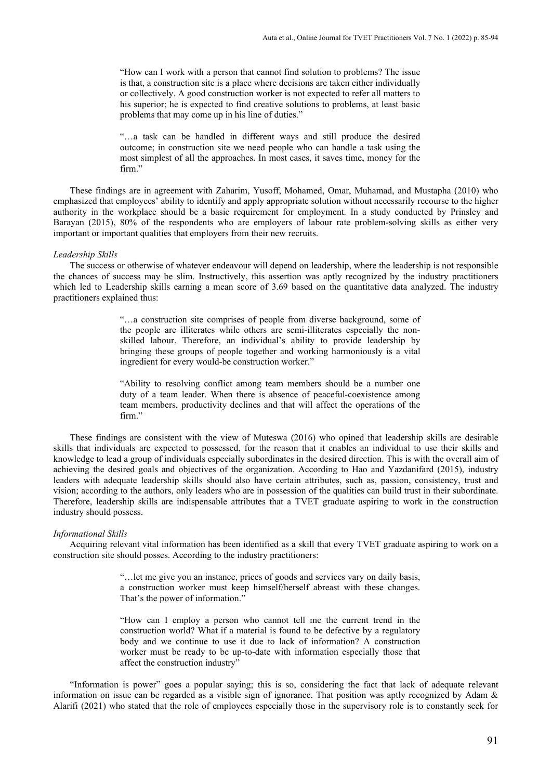"How can I work with a person that cannot find solution to problems? The issue is that, a construction site is a place where decisions are taken either individually or collectively. A good construction worker is not expected to refer all matters to his superior; he is expected to find creative solutions to problems, at least basic problems that may come up in his line of duties."

"…a task can be handled in different ways and still produce the desired outcome; in construction site we need people who can handle a task using the most simplest of all the approaches. In most cases, it saves time, money for the firm."

These findings are in agreement with Zaharim, Yusoff, Mohamed, Omar, Muhamad, and Mustapha (2010) who emphasized that employees' ability to identify and apply appropriate solution without necessarily recourse to the higher authority in the workplace should be a basic requirement for employment. In a study conducted by Prinsley and Barayan (2015), 80% of the respondents who are employers of labour rate problem-solving skills as either very important or important qualities that employers from their new recruits.

#### *Leadership Skills*

The success or otherwise of whatever endeavour will depend on leadership, where the leadership is not responsible the chances of success may be slim. Instructively, this assertion was aptly recognized by the industry practitioners which led to Leadership skills earning a mean score of 3.69 based on the quantitative data analyzed. The industry practitioners explained thus:

> "…a construction site comprises of people from diverse background, some of the people are illiterates while others are semi-illiterates especially the nonskilled labour. Therefore, an individual's ability to provide leadership by bringing these groups of people together and working harmoniously is a vital ingredient for every would-be construction worker."

> "Ability to resolving conflict among team members should be a number one duty of a team leader. When there is absence of peaceful-coexistence among team members, productivity declines and that will affect the operations of the firm."

These findings are consistent with the view of Muteswa (2016) who opined that leadership skills are desirable skills that individuals are expected to possessed, for the reason that it enables an individual to use their skills and knowledge to lead a group of individuals especially subordinates in the desired direction. This is with the overall aim of achieving the desired goals and objectives of the organization. According to Hao and Yazdanifard (2015), industry leaders with adequate leadership skills should also have certain attributes, such as, passion, consistency, trust and vision; according to the authors, only leaders who are in possession of the qualities can build trust in their subordinate. Therefore, leadership skills are indispensable attributes that a TVET graduate aspiring to work in the construction industry should possess.

## *Informational Skills*

 Acquiring relevant vital information has been identified as a skill that every TVET graduate aspiring to work on a construction site should posses. According to the industry practitioners:

> "…let me give you an instance, prices of goods and services vary on daily basis, a construction worker must keep himself/herself abreast with these changes. That's the power of information."

> "How can I employ a person who cannot tell me the current trend in the construction world? What if a material is found to be defective by a regulatory body and we continue to use it due to lack of information? A construction worker must be ready to be up-to-date with information especially those that affect the construction industry"

"Information is power" goes a popular saying; this is so, considering the fact that lack of adequate relevant information on issue can be regarded as a visible sign of ignorance. That position was aptly recognized by Adam & Alarifi (2021) who stated that the role of employees especially those in the supervisory role is to constantly seek for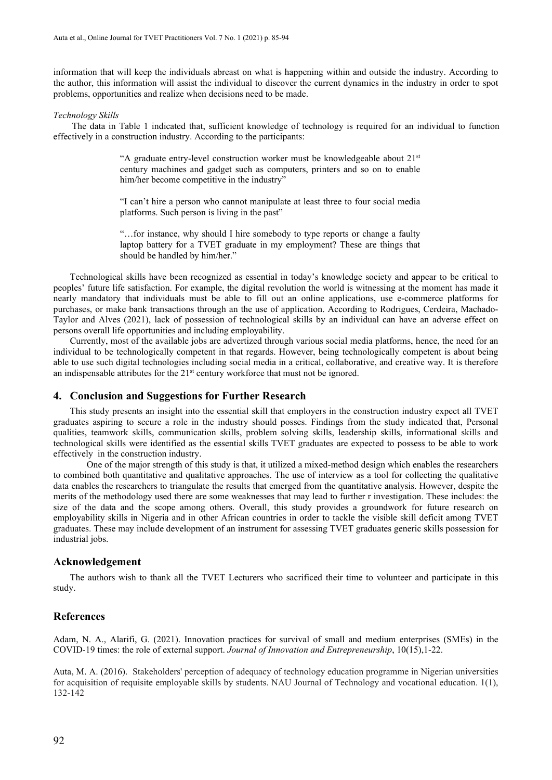information that will keep the individuals abreast on what is happening within and outside the industry. According to the author, this information will assist the individual to discover the current dynamics in the industry in order to spot problems, opportunities and realize when decisions need to be made.

#### *Technology Skills*

The data in Table 1 indicated that, sufficient knowledge of technology is required for an individual to function effectively in a construction industry. According to the participants:

> "A graduate entry-level construction worker must be knowledgeable about  $21<sup>st</sup>$ century machines and gadget such as computers, printers and so on to enable him/her become competitive in the industry"

> "I can't hire a person who cannot manipulate at least three to four social media platforms. Such person is living in the past"

> "…for instance, why should I hire somebody to type reports or change a faulty laptop battery for a TVET graduate in my employment? These are things that should be handled by him/her."

Technological skills have been recognized as essential in today's knowledge society and appear to be critical to peoples' future life satisfaction. For example, the digital revolution the world is witnessing at the moment has made it nearly mandatory that individuals must be able to fill out an online applications, use e-commerce platforms for purchases, or make bank transactions through an the use of application. According to Rodrigues, Cerdeira, Machado-Taylor and Alves (2021), lack of possession of technological skills by an individual can have an adverse effect on persons overall life opportunities and including employability.

Currently, most of the available jobs are advertized through various social media platforms, hence, the need for an individual to be technologically competent in that regards. However, being technologically competent is about being able to use such digital technologies including social media in a critical, collaborative, and creative way. It is therefore an indispensable attributes for the  $21<sup>st</sup>$  century workforce that must not be ignored.

## **4. Conclusion and Suggestions for Further Research**

This study presents an insight into the essential skill that employers in the construction industry expect all TVET graduates aspiring to secure a role in the industry should posses. Findings from the study indicated that, Personal qualities, teamwork skills, communication skills, problem solving skills, leadership skills, informational skills and technological skills were identified as the essential skills TVET graduates are expected to possess to be able to work effectively in the construction industry.

One of the major strength of this study is that, it utilized a mixed-method design which enables the researchers to combined both quantitative and qualitative approaches. The use of interview as a tool for collecting the qualitative data enables the researchers to triangulate the results that emerged from the quantitative analysis. However, despite the merits of the methodology used there are some weaknesses that may lead to further r investigation. These includes: the size of the data and the scope among others. Overall, this study provides a groundwork for future research on employability skills in Nigeria and in other African countries in order to tackle the visible skill deficit among TVET graduates. These may include development of an instrument for assessing TVET graduates generic skills possession for industrial jobs.

## **Acknowledgement**

The authors wish to thank all the TVET Lecturers who sacrificed their time to volunteer and participate in this study.

## **References**

Adam, N. A., Alarifi, G. (2021). Innovation practices for survival of small and medium enterprises (SMEs) in the COVID-19 times: the role of external support. *Journal of Innovation and Entrepreneurship*, 10(15),1-22.

Auta, M. A. (2016). Stakeholders' perception of adequacy of technology education programme in Nigerian universities for acquisition of requisite employable skills by students. NAU Journal of Technology and vocational education. 1(1), 132-142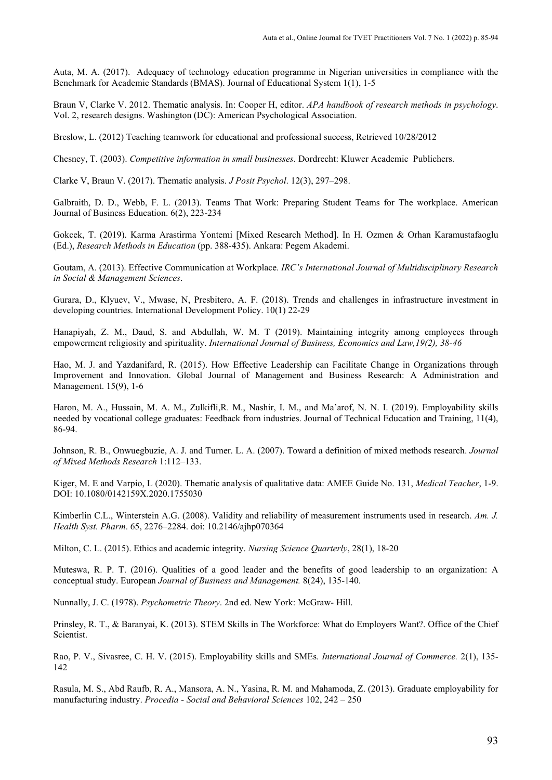Auta, M. A. (2017). Adequacy of technology education programme in Nigerian universities in compliance with the Benchmark for Academic Standards (BMAS). Journal of Educational System 1(1), 1-5

Braun V, Clarke V. 2012. Thematic analysis. In: Cooper H, editor. *APA handbook of research methods in psychology*. Vol. 2, research designs. Washington (DC): American Psychological Association.

Breslow, L. (2012) Teaching teamwork for educational and professional success, Retrieved 10/28/2012

Chesney, T. (2003). *Competitive information in small businesses*. Dordrecht: Kluwer Academic Publichers.

Clarke V, Braun V. (2017). Thematic analysis. *J Posit Psychol*. 12(3), 297–298.

Galbraith, D. D., Webb, F. L. (2013). Teams That Work: Preparing Student Teams for The workplace. American Journal of Business Education. 6(2), 223-234

Gokcek, T. (2019). Karma Arastirma Yontemi [Mixed Research Method]. In H. Ozmen & Orhan Karamustafaoglu (Ed.), *Research Methods in Education* (pp. 388-435). Ankara: Pegem Akademi.

Goutam, A. (2013). Effective Communication at Workplace. *IRC's International Journal of Multidisciplinary Research in Social & Management Sciences*.

Gurara, D., Klyuev, V., Mwase, N, Presbitero, A. F. (2018). Trends and challenges in infrastructure investment in developing countries. International Development Policy. 10(1) 22-29

Hanapiyah, Z. M., Daud, S. and Abdullah, W. M. T (2019). Maintaining integrity among employees through empowerment religiosity and spirituality. *International Journal of Business, Economics and Law,19(2), 38-46* 

Hao, M. J. and Yazdanifard, R. (2015). How Effective Leadership can Facilitate Change in Organizations through Improvement and Innovation. Global Journal of Management and Business Research: A Administration and Management. 15(9), 1-6

Haron, M. A., Hussain, M. A. M., Zulkifli,R. M., Nashir, I. M., and Ma'arof, N. N. I. (2019). Employability skills needed by vocational college graduates: Feedback from industries. Journal of Technical Education and Training, 11(4), 86-94.

Johnson, R. B., Onwuegbuzie, A. J. and Turner. L. A. (2007). Toward a definition of mixed methods research. *Journal of Mixed Methods Research* 1:112–133.

Kiger, M. E and Varpio, L (2020). Thematic analysis of qualitative data: AMEE Guide No. 131, *Medical Teacher*, 1-9. DOI: 10.1080/0142159X.2020.1755030

Kimberlin C.L., Winterstein A.G. (2008). Validity and reliability of measurement instruments used in research. *Am. J. Health Syst. Pharm*. 65, 2276–2284. doi: 10.2146/ajhp070364

Milton, C. L. (2015). Ethics and academic integrity. *Nursing Science Quarterly*, 28(1), 18-20

Muteswa, R. P. T. (2016). Qualities of a good leader and the benefits of good leadership to an organization: A conceptual study. European *Journal of Business and Management.* 8(24), 135-140.

Nunnally, J. C. (1978). *Psychometric Theory*. 2nd ed. New York: McGraw- Hill.

Prinsley, R. T., & Baranyai, K. (2013). STEM Skills in The Workforce: What do Employers Want?. Office of the Chief Scientist.

Rao, P. V., Sivasree, C. H. V. (2015). Employability skills and SMEs. *International Journal of Commerce.* 2(1), 135- 142

Rasula, M. S., Abd Raufb, R. A., Mansora, A. N., Yasina, R. M. and Mahamoda, Z. (2013). Graduate employability for manufacturing industry. *Procedia - Social and Behavioral Sciences* 102, 242 – 250